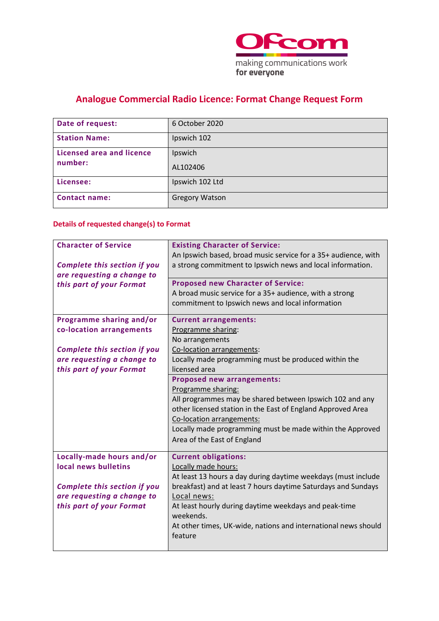

# **Analogue Commercial Radio Licence: Format Change Request Form**

| Date of request:          | 6 October 2020        |
|---------------------------|-----------------------|
| <b>Station Name:</b>      | Ipswich 102           |
| Licensed area and licence | Ipswich               |
| number:                   | AL102406              |
| Licensee:                 | Ipswich 102 Ltd       |
| <b>Contact name:</b>      | <b>Gregory Watson</b> |

## **Details of requested change(s) to Format**

| <b>Character of Service</b><br><b>Complete this section if you</b><br>are requesting a change to                                                      | <b>Existing Character of Service:</b><br>An Ipswich based, broad music service for a 35+ audience, with<br>a strong commitment to Ipswich news and local information.                                                                                                                                                                       |
|-------------------------------------------------------------------------------------------------------------------------------------------------------|---------------------------------------------------------------------------------------------------------------------------------------------------------------------------------------------------------------------------------------------------------------------------------------------------------------------------------------------|
| this part of your Format                                                                                                                              | <b>Proposed new Character of Service:</b><br>A broad music service for a 35+ audience, with a strong<br>commitment to Ipswich news and local information                                                                                                                                                                                    |
| Programme sharing and/or<br>co-location arrangements<br><b>Complete this section if you</b><br>are requesting a change to<br>this part of your Format | <b>Current arrangements:</b><br>Programme sharing:<br>No arrangements<br>Co-location arrangements:<br>Locally made programming must be produced within the<br>licensed area                                                                                                                                                                 |
|                                                                                                                                                       | <b>Proposed new arrangements:</b><br>Programme sharing:<br>All programmes may be shared between Ipswich 102 and any<br>other licensed station in the East of England Approved Area<br>Co-location arrangements:<br>Locally made programming must be made within the Approved<br>Area of the East of England                                 |
| Locally-made hours and/or<br>local news bulletins<br><b>Complete this section if you</b><br>are requesting a change to<br>this part of your Format    | <b>Current obligations:</b><br>Locally made hours:<br>At least 13 hours a day during daytime weekdays (must include<br>breakfast) and at least 7 hours daytime Saturdays and Sundays<br>Local news:<br>At least hourly during daytime weekdays and peak-time<br>weekends.<br>At other times, UK-wide, nations and international news should |
|                                                                                                                                                       | feature                                                                                                                                                                                                                                                                                                                                     |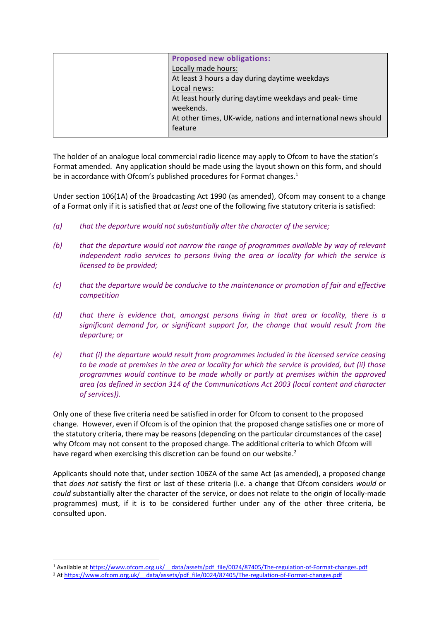| <b>Proposed new obligations:</b>                               |
|----------------------------------------------------------------|
| Locally made hours:                                            |
| At least 3 hours a day during daytime weekdays                 |
| Local news:                                                    |
| At least hourly during daytime weekdays and peak-time          |
| weekends.                                                      |
| At other times, UK-wide, nations and international news should |
| feature                                                        |
|                                                                |

The holder of an analogue local commercial radio licence may apply to Ofcom to have the station's Format amended. Any application should be made using the layout shown on this form, and should be in accordance with Ofcom's published procedures for Format changes.<sup>1</sup>

Under section 106(1A) of the Broadcasting Act 1990 (as amended), Ofcom may consent to a change of a Format only if it is satisfied that *at least* one of the following five statutory criteria is satisfied:

- *(a) that the departure would not substantially alter the character of the service;*
- *(b) that the departure would not narrow the range of programmes available by way of relevant independent radio services to persons living the area or locality for which the service is licensed to be provided;*
- *(c) that the departure would be conducive to the maintenance or promotion of fair and effective competition*
- *(d) that there is evidence that, amongst persons living in that area or locality, there is a significant demand for, or significant support for, the change that would result from the departure; or*
- *(e) that (i) the departure would result from programmes included in the licensed service ceasing to be made at premises in the area or locality for which the service is provided, but (ii) those programmes would continue to be made wholly or partly at premises within the approved area (as defined in section 314 of the Communications Act 2003 (local content and character of services)).*

Only one of these five criteria need be satisfied in order for Ofcom to consent to the proposed change. However, even if Ofcom is of the opinion that the proposed change satisfies one or more of the statutory criteria, there may be reasons (depending on the particular circumstances of the case) why Ofcom may not consent to the proposed change. The additional criteria to which Ofcom will have regard when exercising this discretion can be found on our website.<sup>2</sup>

Applicants should note that, under section 106ZA of the same Act (as amended), a proposed change that *does not* satisfy the first or last of these criteria (i.e. a change that Ofcom considers *would* or *could* substantially alter the character of the service, or does not relate to the origin of locally-made programmes) must, if it is to be considered further under any of the other three criteria, be consulted upon.

<sup>2</sup> At https://www.ofcom.org.uk/ data/assets/pdf file/0024/87405/The-regulation-of-Format-changes.pdf

<sup>1</sup> Available at [https://www.ofcom.org.uk/\\_\\_data/assets/pdf\\_file/0024/87405/The-regulation-of-Format-changes.pdf](https://www.ofcom.org.uk/__data/assets/pdf_file/0024/87405/The-regulation-of-Format-changes.pdf)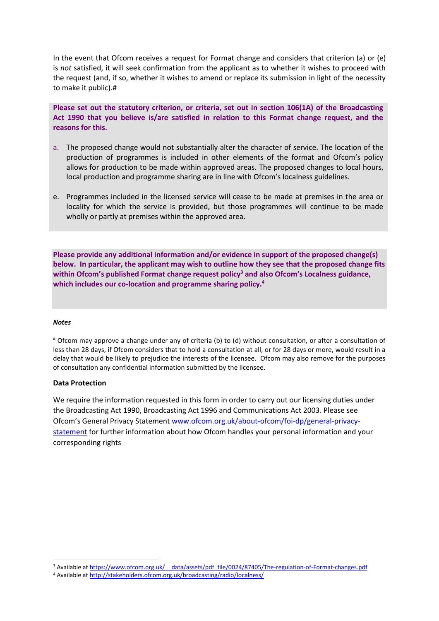In the event that Ofcom receives a request for Format change and considers that criterion (a) or (e) is *not* satisfied, it will seek confirmation from the applicant as to whether it wishes to proceed with the request (and, if so, whether it wishes to amend or replace its submission in light of the necessity to make it public).#

**Please set out the statutory criterion, or criteria, set out in section 106(1A) of the Broadcasting Act 1990 that you believe is/are satisfied in relation to this Format change request, and the reasons for this.**

- a. The proposed change would not substantially alter the character of service. The location of the production of programmes is included in other elements of the format and Ofcom's policy allows for production to be made within approved areas. The proposed changes to local hours, local production and programme sharing are in line with Ofcom's localness guidelines.
- e. Programmes included in the licensed service will cease to be made at premises in the area or locality for which the service is provided, but those programmes will continue to be made wholly or partly at premises within the approved area.

**Please provide any additional information and/or evidence in support of the proposed change(s) below. In particular, the applicant may wish to outline how they see that the proposed change fits within Ofcom's published Format change request policy<sup>3</sup> and also Ofcom's Localness guidance, which includes our co-location and programme sharing policy. 4**

#### *Notes*

# Ofcom may approve a change under any of criteria (b) to (d) without consultation, or after a consultation of less than 28 days, if Ofcom considers that to hold a consultation at all, or for 28 days or more, would result in a delay that would be likely to prejudice the interests of the licensee. Ofcom may also remove for the purposes of consultation any confidential information submitted by the licensee.

#### **Data Protection**

We require the information requested in this form in order to carry out our licensing duties under the Broadcasting Act 1990, Broadcasting Act 1996 and Communications Act 2003. Please see Ofcom's General Privacy Statement [www.ofcom.org.uk/about-ofcom/foi-dp/general-privacy](http://www.ofcom.org.uk/about-ofcom/foi-dp/general-privacy-statement)[statement](http://www.ofcom.org.uk/about-ofcom/foi-dp/general-privacy-statement) for further information about how Ofcom handles your personal information and your corresponding rights

<sup>&</sup>lt;sup>3</sup> Available at https://www.ofcom.org.uk/ data/assets/pdf file/0024/87405/The-regulation-of-Format-changes.pdf <sup>4</sup> Available at<http://stakeholders.ofcom.org.uk/broadcasting/radio/localness/>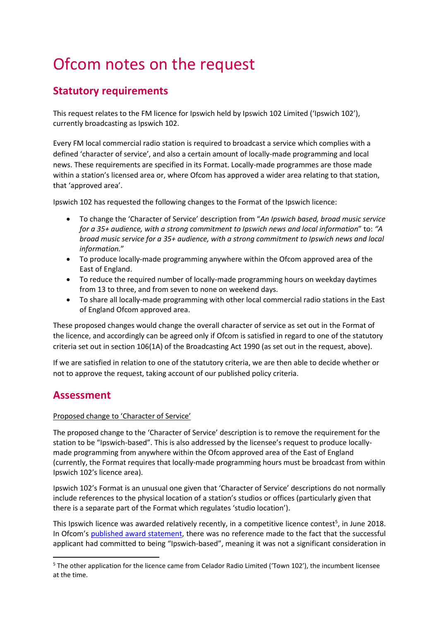# Ofcom notes on the request

# **Statutory requirements**

This request relates to the FM licence for Ipswich held by Ipswich 102 Limited ('Ipswich 102'), currently broadcasting as Ipswich 102.

Every FM local commercial radio station is required to broadcast a service which complies with a defined 'character of service', and also a certain amount of locally-made programming and local news. These requirements are specified in its Format. Locally-made programmes are those made within a station's licensed area or, where Ofcom has approved a wider area relating to that station, that 'approved area'.

Ipswich 102 has requested the following changes to the Format of the Ipswich licence:

- To change the 'Character of Service' description from "*An Ipswich based, broad music service for a 35+ audience, with a strong commitment to Ipswich news and local information*" to: *"A broad music service for a 35+ audience, with a strong commitment to Ipswich news and local information.*"
- To produce locally-made programming anywhere within the Ofcom approved area of the East of England.
- To reduce the required number of locally-made programming hours on weekday daytimes from 13 to three, and from seven to none on weekend days.
- To share all locally-made programming with other local commercial radio stations in the East of England Ofcom approved area.

These proposed changes would change the overall character of service as set out in the Format of the licence, and accordingly can be agreed only if Ofcom is satisfied in regard to one of the statutory criteria set out in section 106(1A) of the Broadcasting Act 1990 (as set out in the request, above).

If we are satisfied in relation to one of the statutory criteria, we are then able to decide whether or not to approve the request, taking account of our published policy criteria.

# **Assessment**

### Proposed change to 'Character of Service'

The proposed change to the 'Character of Service' description is to remove the requirement for the station to be "Ipswich-based". This is also addressed by the licensee's request to produce locallymade programming from anywhere within the Ofcom approved area of the East of England (currently, the Format requires that locally-made programming hours must be broadcast from within Ipswich 102's licence area).

Ipswich 102's Format is an unusual one given that 'Character of Service' descriptions do not normally include references to the physical location of a station's studios or offices (particularly given that there is a separate part of the Format which regulates 'studio location').

This Ipswich licence was awarded relatively recently, in a competitive licence contest<sup>5</sup>, in June 2018. In Ofcom's [published award statement,](https://www.ofcom.org.uk/__data/assets/pdf_file/0022/114754/Commercial-radio-licence-award-Ipswich.pdf) there was no reference made to the fact that the successful applicant had committed to being "Ipswich-based", meaning it was not a significant consideration in

<sup>5</sup> The other application for the licence came from Celador Radio Limited ('Town 102'), the incumbent licensee at the time.